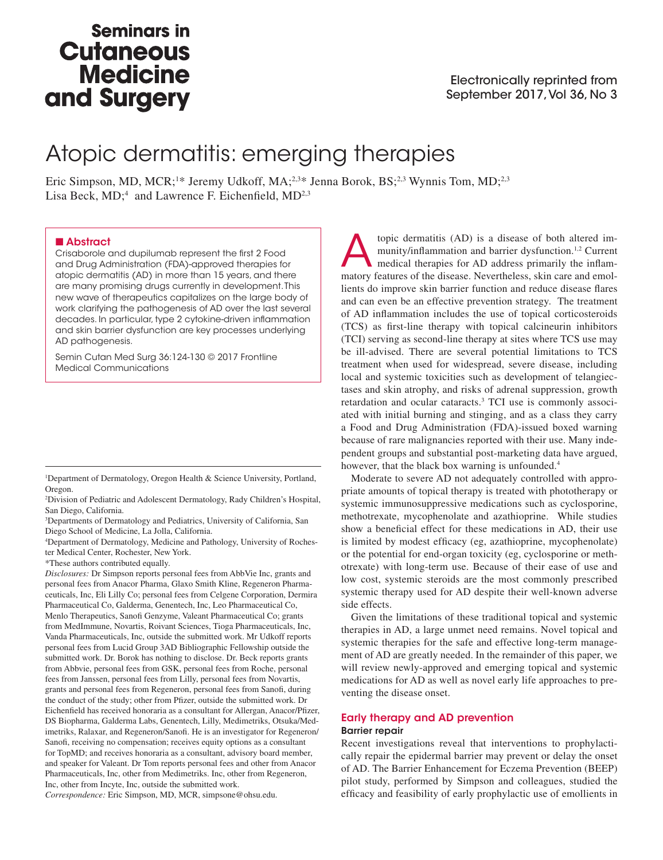# **Seminars in Cutaneous Medicine** and Surgery

# Atopic dermatitis: emerging therapies

Eric Simpson, MD, MCR;<sup>1\*</sup> Jeremy Udkoff, MA;<sup>2,3\*</sup> Jenna Borok, BS;<sup>2,3</sup> Wynnis Tom, MD;<sup>2,3</sup> Lisa Beck, MD;<sup>4</sup> and Lawrence F. Eichenfield, MD<sup>2,3</sup>

#### ■ Abstract

Crisaborole and dupilumab represent the first 2 Food and Drug Administration (FDA)-approved therapies for atopic dermatitis (AD) in more than 15 years, and there are many promising drugs currently in development. This new wave of therapeutics capitalizes on the large body of work clarifying the pathogenesis of AD over the last several decades. In particular, type 2 cytokine-driven inflammation and skin barrier dysfunction are key processes underlying AD pathogenesis.

Semin Cutan Med Surg 36:124-130 © 2017 Frontline Medical Communications

1 Department of Dermatology, Oregon Health & Science University, Portland, Oregon.

2 Division of Pediatric and Adolescent Dermatology, Rady Children's Hospital, San Diego, California.

3 Departments of Dermatology and Pediatrics, University of California, San Diego School of Medicine, La Jolla, California.

4 Department of Dermatology, Medicine and Pathology, University of Rochester Medical Center, Rochester, New York.

\*These authors contributed equally.

*Disclosures:* Dr Simpson reports personal fees from AbbVie Inc, grants and personal fees from Anacor Pharma, Glaxo Smith Kline, Regeneron Pharmaceuticals, Inc, Eli Lilly Co; personal fees from Celgene Corporation, Dermira Pharmaceutical Co, Galderma, Genentech, Inc, Leo Pharmaceutical Co, Menlo Therapeutics, Sanofi Genzyme, Valeant Pharmaceutical Co; grants from MedImmune, Novartis, Roivant Sciences, Tioga Pharmaceuticals, Inc, Vanda Pharmaceuticals, Inc, outside the submitted work. Mr Udkoff reports personal fees from Lucid Group 3AD Bibliographic Fellowship outside the submitted work. Dr. Borok has nothing to disclose. Dr. Beck reports grants from Abbvie, personal fees from GSK, personal fees from Roche, personal fees from Janssen, personal fees from Lilly, personal fees from Novartis, grants and personal fees from Regeneron, personal fees from Sanofi, during the conduct of the study; other from Pfizer, outside the submitted work. Dr Eichenfield has received honoraria as a consultant for Allergan, Anacor/Pfizer, DS Biopharma, Galderma Labs, Genentech, Lilly, Medimetriks, Otsuka/Medimetriks, Ralaxar, and Regeneron/Sanofi. He is an investigator for Regeneron/ Sanofi, receiving no compensation; receives equity options as a consultant for TopMD; and receives honoraria as a consultant, advisory board member, and speaker for Valeant. Dr Tom reports personal fees and other from Anacor Pharmaceuticals, Inc, other from Medimetriks. Inc, other from Regeneron, Inc, other from Incyte, Inc, outside the submitted work.

*Correspondence:* Eric Simpson, MD, MCR, simpsone@ohsu.edu.

topic dermatitis (AD) is a disease of both altered im-<br>munity/inflammation and barrier dysfunction.<sup>1,2</sup> Current<br>medical therapies for AD address primarily the inflam-<br>matery features of the disease. Nevertheless clin ears munity/inflammation and barrier dysfunction.1,2 Current matory features of the disease. Nevertheless, skin care and emollients do improve skin barrier function and reduce disease flares and can even be an effective prevention strategy. The treatment of AD inflammation includes the use of topical corticosteroids (TCS) as first-line therapy with topical calcineurin inhibitors (TCI) serving as second-line therapy at sites where TCS use may be ill-advised. There are several potential limitations to TCS treatment when used for widespread, severe disease, including local and systemic toxicities such as development of telangiectases and skin atrophy, and risks of adrenal suppression, growth retardation and ocular cataracts.3 TCI use is commonly associated with initial burning and stinging, and as a class they carry a Food and Drug Administration (FDA)-issued boxed warning because of rare malignancies reported with their use. Many independent groups and substantial post-marketing data have argued, however, that the black box warning is unfounded.<sup>4</sup>

Moderate to severe AD not adequately controlled with appropriate amounts of topical therapy is treated with phototherapy or systemic immunosuppressive medications such as cyclosporine, methotrexate, mycophenolate and azathioprine. While studies show a beneficial effect for these medications in AD, their use is limited by modest efficacy (eg, azathioprine, mycophenolate) or the potential for end-organ toxicity (eg, cyclosporine or methotrexate) with long-term use. Because of their ease of use and low cost, systemic steroids are the most commonly prescribed systemic therapy used for AD despite their well-known adverse side effects.

Given the limitations of these traditional topical and systemic therapies in AD, a large unmet need remains. Novel topical and systemic therapies for the safe and effective long-term management of AD are greatly needed. In the remainder of this paper, we will review newly-approved and emerging topical and systemic medications for AD as well as novel early life approaches to preventing the disease onset.

### Early therapy and AD prevention

#### Barrier repair

Recent investigations reveal that interventions to prophylactically repair the epidermal barrier may prevent or delay the onset of AD. The Barrier Enhancement for Eczema Prevention (BEEP) pilot study, performed by Simpson and colleagues, studied the efficacy and feasibility of early prophylactic use of emollients in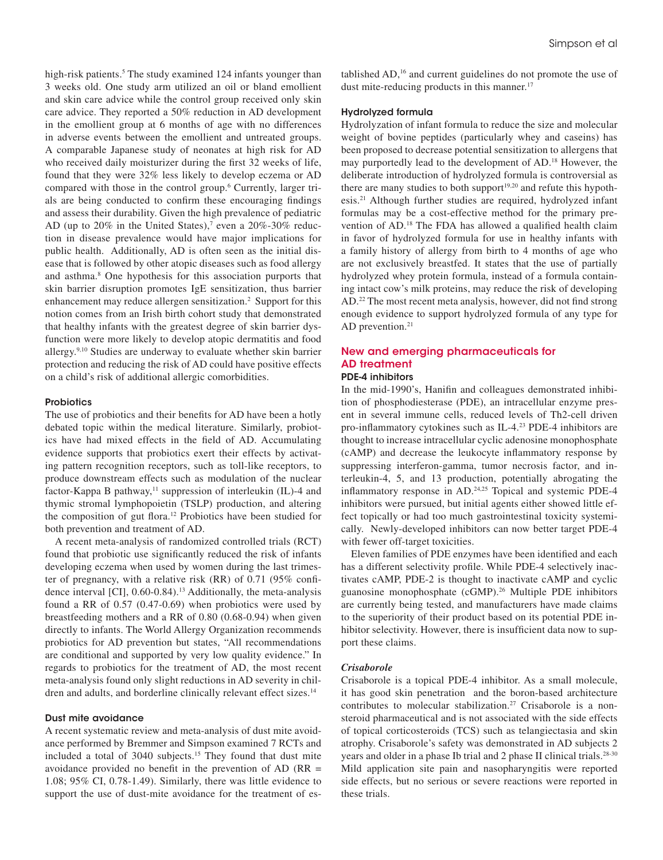high-risk patients.<sup>5</sup> The study examined 124 infants younger than 3 weeks old. One study arm utilized an oil or bland emollient and skin care advice while the control group received only skin care advice. They reported a 50% reduction in AD development in the emollient group at 6 months of age with no differences in adverse events between the emollient and untreated groups. A comparable Japanese study of neonates at high risk for AD who received daily moisturizer during the first 32 weeks of life, found that they were 32% less likely to develop eczema or AD compared with those in the control group.6 Currently, larger trials are being conducted to confirm these encouraging findings and assess their durability. Given the high prevalence of pediatric AD (up to  $20\%$  in the United States),<sup>7</sup> even a  $20\%$ -30% reduction in disease prevalence would have major implications for public health. Additionally, AD is often seen as the initial disease that is followed by other atopic diseases such as food allergy and asthma.<sup>8</sup> One hypothesis for this association purports that skin barrier disruption promotes IgE sensitization, thus barrier enhancement may reduce allergen sensitization.<sup>2</sup> Support for this notion comes from an Irish birth cohort study that demonstrated that healthy infants with the greatest degree of skin barrier dysfunction were more likely to develop atopic dermatitis and food allergy.9,10 Studies are underway to evaluate whether skin barrier protection and reducing the risk of AD could have positive effects on a child's risk of additional allergic comorbidities.

#### **Probiotics**

The use of probiotics and their benefits for AD have been a hotly debated topic within the medical literature. Similarly, probiotics have had mixed effects in the field of AD. Accumulating evidence supports that probiotics exert their effects by activating pattern recognition receptors, such as toll-like receptors, to produce downstream effects such as modulation of the nuclear factor-Kappa B pathway, $11$  suppression of interleukin (IL)-4 and thymic stromal lymphopoietin (TSLP) production, and altering the composition of gut flora.12 Probiotics have been studied for both prevention and treatment of AD.

A recent meta-analysis of randomized controlled trials (RCT) found that probiotic use significantly reduced the risk of infants developing eczema when used by women during the last trimester of pregnancy, with a relative risk (RR) of 0.71 (95% confidence interval [CI], 0.60-0.84).<sup>13</sup> Additionally, the meta-analysis found a RR of 0.57 (0.47-0.69) when probiotics were used by breastfeeding mothers and a RR of 0.80 (0.68-0.94) when given directly to infants. The World Allergy Organization recommends probiotics for AD prevention but states, "All recommendations are conditional and supported by very low quality evidence." In regards to probiotics for the treatment of AD, the most recent meta-analysis found only slight reductions in AD severity in children and adults, and borderline clinically relevant effect sizes.<sup>14</sup>

#### Dust mite avoidance

A recent systematic review and meta-analysis of dust mite avoidance performed by Bremmer and Simpson examined 7 RCTs and included a total of 3040 subjects.<sup>15</sup> They found that dust mite avoidance provided no benefit in the prevention of AD (RR = 1.08; 95% CI, 0.78-1.49). Similarly, there was little evidence to support the use of dust-mite avoidance for the treatment of established AD,16 and current guidelines do not promote the use of dust mite-reducing products in this manner.<sup>17</sup>

#### Hydrolyzed formula

Hydrolyzation of infant formula to reduce the size and molecular weight of bovine peptides (particularly whey and caseins) has been proposed to decrease potential sensitization to allergens that may purportedly lead to the development of AD.18 However, the deliberate introduction of hydrolyzed formula is controversial as there are many studies to both support<sup>19,20</sup> and refute this hypothesis.21 Although further studies are required, hydrolyzed infant formulas may be a cost-effective method for the primary prevention of AD.18 The FDA has allowed a qualified health claim in favor of hydrolyzed formula for use in healthy infants with a family history of allergy from birth to 4 months of age who are not exclusively breastfed. It states that the use of partially hydrolyzed whey protein formula, instead of a formula containing intact cow's milk proteins, may reduce the risk of developing AD.22 The most recent meta analysis, however, did not find strong enough evidence to support hydrolyzed formula of any type for AD prevention.<sup>21</sup>

## New and emerging pharmaceuticals for AD treatment

### PDE-4 inhibitors

In the mid-1990's, Hanifin and colleagues demonstrated inhibition of phosphodiesterase (PDE), an intracellular enzyme present in several immune cells, reduced levels of Th2-cell driven pro-inflammatory cytokines such as IL-4.23 PDE-4 inhibitors are thought to increase intracellular cyclic adenosine monophosphate (cAMP) and decrease the leukocyte inflammatory response by suppressing interferon-gamma, tumor necrosis factor, and interleukin-4, 5, and 13 production, potentially abrogating the inflammatory response in AD.24,25 Topical and systemic PDE-4 inhibitors were pursued, but initial agents either showed little effect topically or had too much gastrointestinal toxicity systemically. Newly-developed inhibitors can now better target PDE-4 with fewer off-target toxicities.

Eleven families of PDE enzymes have been identified and each has a different selectivity profile. While PDE-4 selectively inactivates cAMP, PDE-2 is thought to inactivate cAMP and cyclic guanosine monophosphate (cGMP).26 Multiple PDE inhibitors are currently being tested, and manufacturers have made claims to the superiority of their product based on its potential PDE inhibitor selectivity. However, there is insufficient data now to support these claims.

#### *Crisaborole*

Crisaborole is a topical PDE-4 inhibitor. As a small molecule, it has good skin penetration and the boron-based architecture contributes to molecular stabilization.<sup>27</sup> Crisaborole is a nonsteroid pharmaceutical and is not associated with the side effects of topical corticosteroids (TCS) such as telangiectasia and skin atrophy. Crisaborole's safety was demonstrated in AD subjects 2 years and older in a phase Ib trial and 2 phase II clinical trials.28-30 Mild application site pain and nasopharyngitis were reported side effects, but no serious or severe reactions were reported in these trials.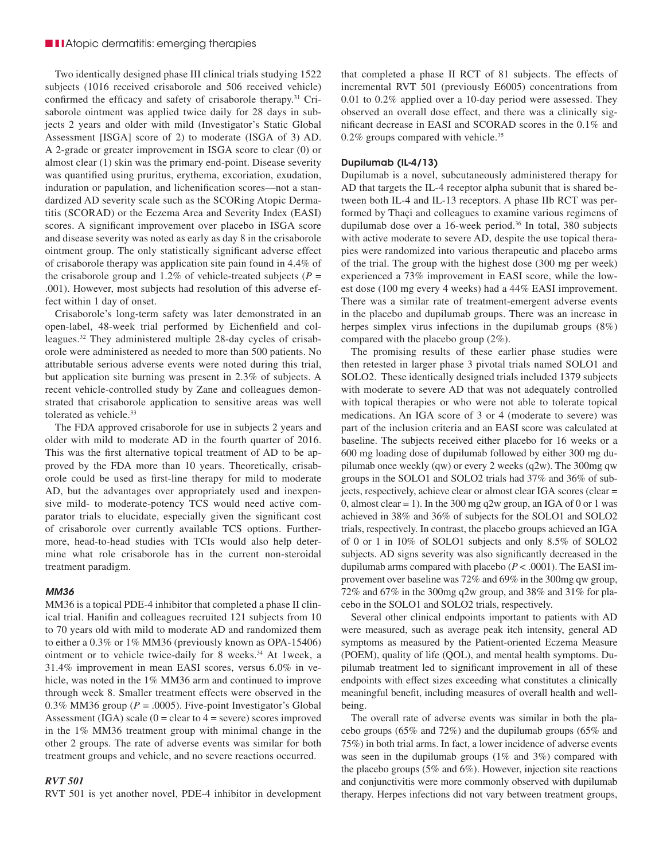#### ■ **■ I** Atopic dermatitis: emerging therapies

Two identically designed phase III clinical trials studying 1522 subjects (1016 received crisaborole and 506 received vehicle) confirmed the efficacy and safety of crisaborole therapy.31 Crisaborole ointment was applied twice daily for 28 days in subjects 2 years and older with mild (Investigator's Static Global Assessment [ISGA] score of 2) to moderate (ISGA of 3) AD. A 2-grade or greater improvement in ISGA score to clear (0) or almost clear (1) skin was the primary end-point. Disease severity was quantified using pruritus, erythema, excoriation, exudation, induration or papulation, and lichenification scores—not a standardized AD severity scale such as the SCORing Atopic Dermatitis (SCORAD) or the Eczema Area and Severity Index (EASI) scores. A significant improvement over placebo in ISGA score and disease severity was noted as early as day 8 in the crisaborole ointment group. The only statistically significant adverse effect of crisaborole therapy was application site pain found in 4.4% of the crisaborole group and 1.2% of vehicle-treated subjects ( $P =$ .001). However, most subjects had resolution of this adverse effect within 1 day of onset.

Crisaborole's long-term safety was later demonstrated in an open-label, 48-week trial performed by Eichenfield and colleagues.32 They administered multiple 28-day cycles of crisaborole were administered as needed to more than 500 patients. No attributable serious adverse events were noted during this trial, but application site burning was present in 2.3% of subjects. A recent vehicle-controlled study by Zane and colleagues demonstrated that crisaborole application to sensitive areas was well tolerated as vehicle.<sup>33</sup>

The FDA approved crisaborole for use in subjects 2 years and older with mild to moderate AD in the fourth quarter of 2016. This was the first alternative topical treatment of AD to be approved by the FDA more than 10 years. Theoretically, crisaborole could be used as first-line therapy for mild to moderate AD, but the advantages over appropriately used and inexpensive mild- to moderate-potency TCS would need active comparator trials to elucidate, especially given the significant cost of crisaborole over currently available TCS options. Furthermore, head-to-head studies with TCIs would also help determine what role crisaborole has in the current non-steroidal treatment paradigm.

#### *MM36*

MM36 is a topical PDE-4 inhibitor that completed a phase II clinical trial. Hanifin and colleagues recruited 121 subjects from 10 to 70 years old with mild to moderate AD and randomized them to either a 0.3% or 1% MM36 (previously known as OPA-15406) ointment or to vehicle twice-daily for 8 weeks.<sup>34</sup> At 1week, a 31.4% improvement in mean EASI scores, versus 6.0% in vehicle, was noted in the 1% MM36 arm and continued to improve through week 8. Smaller treatment effects were observed in the 0.3% MM36 group ( $P = .0005$ ). Five-point Investigator's Global Assessment (IGA) scale ( $0 =$  clear to  $4 =$  severe) scores improved in the 1% MM36 treatment group with minimal change in the other 2 groups. The rate of adverse events was similar for both treatment groups and vehicle, and no severe reactions occurred.

#### *RVT 501*

RVT 501 is yet another novel, PDE-4 inhibitor in development

that completed a phase II RCT of 81 subjects. The effects of incremental RVT 501 (previously E6005) concentrations from 0.01 to 0.2% applied over a 10-day period were assessed. They observed an overall dose effect, and there was a clinically significant decrease in EASI and SCORAD scores in the 0.1% and 0.2% groups compared with vehicle.<sup>35</sup>

#### Dupilumab (IL-4/13)

Dupilumab is a novel, subcutaneously administered therapy for AD that targets the IL-4 receptor alpha subunit that is shared between both IL-4 and IL-13 receptors. A phase IIb RCT was performed by Thaçi and colleagues to examine various regimens of dupilumab dose over a 16-week period.<sup>36</sup> In total, 380 subjects with active moderate to severe AD, despite the use topical therapies were randomized into various therapeutic and placebo arms of the trial. The group with the highest dose (300 mg per week) experienced a 73% improvement in EASI score, while the lowest dose (100 mg every 4 weeks) had a 44% EASI improvement. There was a similar rate of treatment-emergent adverse events in the placebo and dupilumab groups. There was an increase in herpes simplex virus infections in the dupilumab groups (8%) compared with the placebo group (2%).

The promising results of these earlier phase studies were then retested in larger phase 3 pivotal trials named SOLO1 and SOLO2. These identically designed trials included 1379 subjects with moderate to severe AD that was not adequately controlled with topical therapies or who were not able to tolerate topical medications. An IGA score of 3 or 4 (moderate to severe) was part of the inclusion criteria and an EASI score was calculated at baseline. The subjects received either placebo for 16 weeks or a 600 mg loading dose of dupilumab followed by either 300 mg dupilumab once weekly (qw) or every 2 weeks (q2w). The 300mg qw groups in the SOLO1 and SOLO2 trials had 37% and 36% of subjects, respectively, achieve clear or almost clear IGA scores (clear = 0, almost clear = 1). In the 300 mg q2w group, an IGA of 0 or 1 was achieved in 38% and 36% of subjects for the SOLO1 and SOLO2 trials, respectively. In contrast, the placebo groups achieved an IGA of 0 or 1 in 10% of SOLO1 subjects and only 8.5% of SOLO2 subjects. AD signs severity was also significantly decreased in the dupilumab arms compared with placebo (*P* < .0001). The EASI improvement over baseline was 72% and 69% in the 300mg qw group, 72% and 67% in the 300mg q2w group, and 38% and 31% for placebo in the SOLO1 and SOLO2 trials, respectively.

Several other clinical endpoints important to patients with AD were measured, such as average peak itch intensity, general AD symptoms as measured by the Patient-oriented Eczema Measure (POEM), quality of life (QOL), and mental health symptoms. Dupilumab treatment led to significant improvement in all of these endpoints with effect sizes exceeding what constitutes a clinically meaningful benefit, including measures of overall health and wellbeing.

The overall rate of adverse events was similar in both the placebo groups (65% and 72%) and the dupilumab groups (65% and 75%) in both trial arms. In fact, a lower incidence of adverse events was seen in the dupilumab groups (1% and 3%) compared with the placebo groups (5% and 6%). However, injection site reactions and conjunctivitis were more commonly observed with dupilumab therapy. Herpes infections did not vary between treatment groups,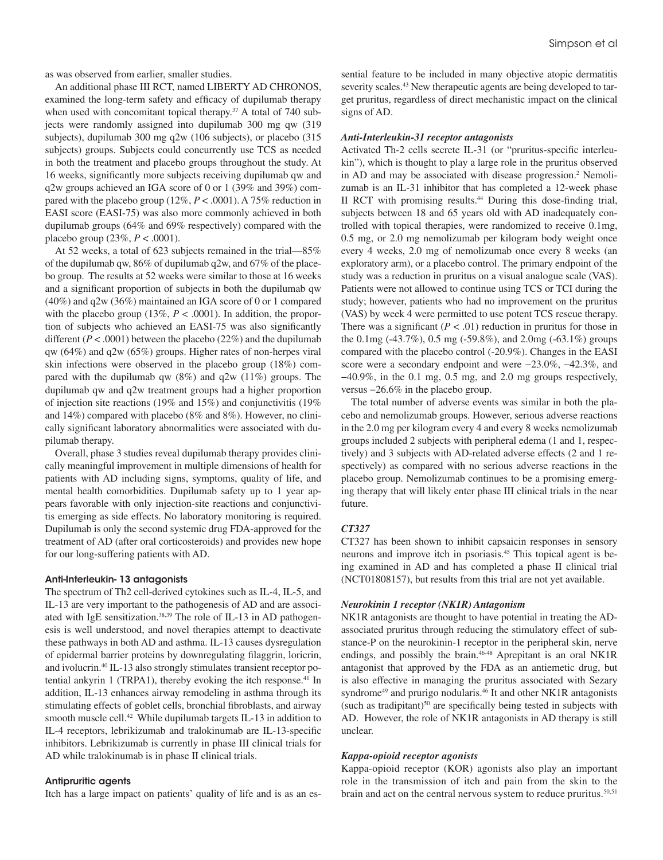as was observed from earlier, smaller studies.

An additional phase III RCT, named LIBERTY AD CHRONOS, examined the long-term safety and efficacy of dupilumab therapy when used with concomitant topical therapy.<sup>37</sup> A total of 740 subjects were randomly assigned into dupilumab 300 mg qw (319 subjects), dupilumab 300 mg q2w (106 subjects), or placebo (315 subjects) groups. Subjects could concurrently use TCS as needed in both the treatment and placebo groups throughout the study. At 16 weeks, significantly more subjects receiving dupilumab qw and q2w groups achieved an IGA score of 0 or 1 (39% and 39%) compared with the placebo group (12%, *P* < .0001). A 75% reduction in EASI score (EASI-75) was also more commonly achieved in both dupilumab groups (64% and 69% respectively) compared with the placebo group (23%, *P* < .0001).

At 52 weeks, a total of 623 subjects remained in the trial—85% of the dupilumab qw, 86% of dupilumab q2w, and 67% of the placebo group. The results at 52 weeks were similar to those at 16 weeks and a significant proportion of subjects in both the dupilumab qw (40%) and q2w (36%) maintained an IGA score of 0 or 1 compared with the placebo group  $(13\%, P < .0001)$ . In addition, the proportion of subjects who achieved an EASI-75 was also significantly different  $(P < .0001)$  between the placebo  $(22%)$  and the dupilumab qw (64%) and q2w (65%) groups. Higher rates of non-herpes viral skin infections were observed in the placebo group (18%) compared with the dupilumab qw (8%) and q2w (11%) groups. The dupilumab qw and q2w treatment groups had a higher proportion of injection site reactions (19% and 15%) and conjunctivitis (19% and 14%) compared with placebo (8% and 8%). However, no clinically significant laboratory abnormalities were associated with dupilumab therapy.

Overall, phase 3 studies reveal dupilumab therapy provides clinically meaningful improvement in multiple dimensions of health for patients with AD including signs, symptoms, quality of life, and mental health comorbidities. Dupilumab safety up to 1 year appears favorable with only injection-site reactions and conjunctivitis emerging as side effects. No laboratory monitoring is required. Dupilumab is only the second systemic drug FDA-approved for the treatment of AD (after oral corticosteroids) and provides new hope for our long-suffering patients with AD.

#### Anti-Interleukin- 13 antagonists

The spectrum of Th2 cell-derived cytokines such as IL-4, IL-5, and IL-13 are very important to the pathogenesis of AD and are associated with IgE sensitization.<sup>38,39</sup> The role of IL-13 in AD pathogenesis is well understood, and novel therapies attempt to deactivate these pathways in both AD and asthma. IL-13 causes dysregulation of epidermal barrier proteins by downregulating filaggrin, loricrin, and ivolucrin.40 IL-13 also strongly stimulates transient receptor potential ankyrin 1 (TRPA1), thereby evoking the itch response.<sup>41</sup> In addition, IL-13 enhances airway remodeling in asthma through its stimulating effects of goblet cells, bronchial fibroblasts, and airway smooth muscle cell.<sup>42</sup> While dupilumab targets IL-13 in addition to IL-4 receptors, lebrikizumab and tralokinumab are IL-13-specific inhibitors. Lebrikizumab is currently in phase III clinical trials for AD while tralokinumab is in phase II clinical trials.

#### Antipruritic agents

Itch has a large impact on patients' quality of life and is as an es-

sential feature to be included in many objective atopic dermatitis severity scales.<sup>43</sup> New therapeutic agents are being developed to target pruritus, regardless of direct mechanistic impact on the clinical signs of AD.

#### *Anti-Interleukin-31 receptor antagonists*

Activated Th-2 cells secrete IL-31 (or "pruritus-specific interleukin"), which is thought to play a large role in the pruritus observed in AD and may be associated with disease progression.<sup>2</sup> Nemolizumab is an IL-31 inhibitor that has completed a 12-week phase II RCT with promising results.44 During this dose-finding trial, subjects between 18 and 65 years old with AD inadequately controlled with topical therapies, were randomized to receive 0.1mg, 0.5 mg, or 2.0 mg nemolizumab per kilogram body weight once every 4 weeks, 2.0 mg of nemolizumab once every 8 weeks (an exploratory arm), or a placebo control. The primary endpoint of the study was a reduction in pruritus on a visual analogue scale (VAS). Patients were not allowed to continue using TCS or TCI during the study; however, patients who had no improvement on the pruritus (VAS) by week 4 were permitted to use potent TCS rescue therapy. There was a significant  $(P < .01)$  reduction in pruritus for those in the 0.1mg (-43.7%), 0.5 mg (-59.8%), and 2.0mg (-63.1%) groups compared with the placebo control (-20.9%). Changes in the EASI score were a secondary endpoint and were  $-23.0\%$ ,  $-42.3\%$ , and −40.9%, in the 0.1 mg, 0.5 mg, and 2.0 mg groups respectively, versus −26.6% in the placebo group.

The total number of adverse events was similar in both the placebo and nemolizumab groups. However, serious adverse reactions in the 2.0 mg per kilogram every 4 and every 8 weeks nemolizumab groups included 2 subjects with peripheral edema (1 and 1, respectively) and 3 subjects with AD-related adverse effects (2 and 1 respectively) as compared with no serious adverse reactions in the placebo group. Nemolizumab continues to be a promising emerging therapy that will likely enter phase III clinical trials in the near future.

#### *CT327*

CT327 has been shown to inhibit capsaicin responses in sensory neurons and improve itch in psoriasis.45 This topical agent is being examined in AD and has completed a phase II clinical trial (NCT01808157), but results from this trial are not yet available.

#### *Neurokinin 1 receptor (NK1R) Antagonism*

NK1R antagonists are thought to have potential in treating the ADassociated pruritus through reducing the stimulatory effect of substance-P on the neurokinin-1 receptor in the peripheral skin, nerve endings, and possibly the brain.<sup>46-48</sup> Aprepitant is an oral NK1R antagonist that approved by the FDA as an antiemetic drug, but is also effective in managing the pruritus associated with Sezary syndrome<sup>49</sup> and prurigo nodularis.<sup>46</sup> It and other NK1R antagonists (such as tradipitant)<sup>50</sup> are specifically being tested in subjects with AD. However, the role of NK1R antagonists in AD therapy is still unclear.

#### *Kappa-opioid receptor agonists*

Kappa-opioid receptor (KOR) agonists also play an important role in the transmission of itch and pain from the skin to the brain and act on the central nervous system to reduce pruritus.<sup>50,51</sup>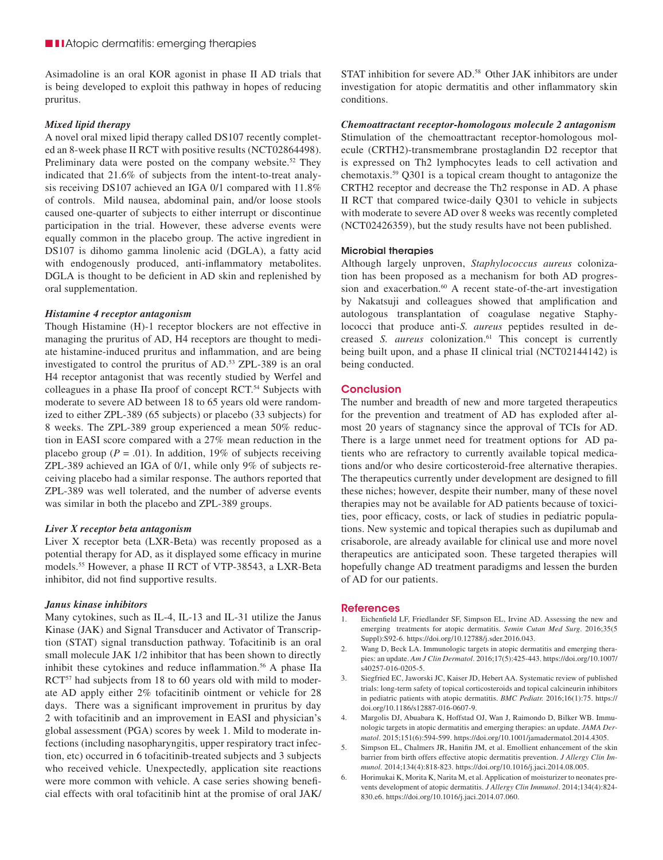Asimadoline is an oral KOR agonist in phase II AD trials that is being developed to exploit this pathway in hopes of reducing pruritus.

#### *Mixed lipid therapy*

A novel oral mixed lipid therapy called DS107 recently completed an 8-week phase II RCT with positive results (NCT02864498). Preliminary data were posted on the company website.<sup>52</sup> They indicated that 21.6% of subjects from the intent-to-treat analysis receiving DS107 achieved an IGA 0/1 compared with 11.8% of controls. Mild nausea, abdominal pain, and/or loose stools caused one-quarter of subjects to either interrupt or discontinue participation in the trial. However, these adverse events were equally common in the placebo group. The active ingredient in DS107 is dihomo gamma linolenic acid (DGLA), a fatty acid with endogenously produced, anti-inflammatory metabolites. DGLA is thought to be deficient in AD skin and replenished by oral supplementation.

#### *Histamine 4 receptor antagonism*

Though Histamine (H)-1 receptor blockers are not effective in managing the pruritus of AD, H4 receptors are thought to mediate histamine-induced pruritus and inflammation, and are being investigated to control the pruritus of AD.53 ZPL-389 is an oral H4 receptor antagonist that was recently studied by Werfel and colleagues in a phase IIa proof of concept RCT.<sup>54</sup> Subjects with moderate to severe AD between 18 to 65 years old were randomized to either ZPL-389 (65 subjects) or placebo (33 subjects) for 8 weeks. The ZPL-389 group experienced a mean 50% reduction in EASI score compared with a 27% mean reduction in the placebo group ( $P = .01$ ). In addition, 19% of subjects receiving ZPL-389 achieved an IGA of 0/1, while only 9% of subjects receiving placebo had a similar response. The authors reported that ZPL-389 was well tolerated, and the number of adverse events was similar in both the placebo and ZPL-389 groups.

#### *Liver X receptor beta antagonism*

Liver X receptor beta (LXR-Beta) was recently proposed as a potential therapy for AD, as it displayed some efficacy in murine models.55 However, a phase II RCT of VTP-38543, a LXR-Beta inhibitor, did not find supportive results.

#### *Janus kinase inhibitors*

Many cytokines, such as IL-4, IL-13 and IL-31 utilize the Janus Kinase (JAK) and Signal Transducer and Activator of Transcription (STAT) signal transduction pathway. Tofacitinib is an oral small molecule JAK 1/2 inhibitor that has been shown to directly inhibit these cytokines and reduce inflammation.<sup>56</sup> A phase IIa RCT<sup>57</sup> had subjects from 18 to 60 years old with mild to moderate AD apply either 2% tofacitinib ointment or vehicle for 28 days. There was a significant improvement in pruritus by day 2 with tofacitinib and an improvement in EASI and physician's global assessment (PGA) scores by week 1. Mild to moderate infections (including nasopharyngitis, upper respiratory tract infection, etc) occurred in 6 tofacitinib-treated subjects and 3 subjects who received vehicle. Unexpectedly, application site reactions were more common with vehicle. A case series showing beneficial effects with oral tofacitinib hint at the promise of oral JAK/ STAT inhibition for severe AD.58 Other JAK inhibitors are under investigation for atopic dermatitis and other inflammatory skin conditions.

*Chemoattractant receptor-homologous molecule 2 antagonism* Stimulation of the chemoattractant receptor-homologous molecule (CRTH2)-transmembrane prostaglandin D2 receptor that is expressed on Th2 lymphocytes leads to cell activation and chemotaxis.59 Q301 is a topical cream thought to antagonize the CRTH2 receptor and decrease the Th2 response in AD. A phase II RCT that compared twice-daily Q301 to vehicle in subjects with moderate to severe AD over 8 weeks was recently completed (NCT02426359), but the study results have not been published.

#### Microbial therapies

Although largely unproven, *Staphylococcus aureus* colonization has been proposed as a mechanism for both AD progression and exacerbation.<sup>60</sup> A recent state-of-the-art investigation by Nakatsuji and colleagues showed that amplification and autologous transplantation of coagulase negative Staphylococci that produce anti-*S. aureus* peptides resulted in decreased *S. aureus* colonization.<sup>61</sup> This concept is currently being built upon, and a phase II clinical trial (NCT02144142) is being conducted.

#### **Conclusion**

The number and breadth of new and more targeted therapeutics for the prevention and treatment of AD has exploded after almost 20 years of stagnancy since the approval of TCIs for AD. There is a large unmet need for treatment options for AD patients who are refractory to currently available topical medications and/or who desire corticosteroid-free alternative therapies. The therapeutics currently under development are designed to fill these niches; however, despite their number, many of these novel therapies may not be available for AD patients because of toxicities, poor efficacy, costs, or lack of studies in pediatric populations. New systemic and topical therapies such as dupilumab and crisaborole, are already available for clinical use and more novel therapeutics are anticipated soon. These targeted therapies will hopefully change AD treatment paradigms and lessen the burden of AD for our patients.

#### References

- 1. Eichenfield LF, Friedlander SF, Simpson EL, Irvine AD. Assessing the new and emerging treatments for atopic dermatitis. *Semin Cutan Med Surg*. 2016;35(5 Suppl):S92-6. https://doi.org/10.12788/j.sder.2016.043.
- 2. Wang D, Beck LA. Immunologic targets in atopic dermatitis and emerging therapies: an update. *Am J Clin Dermatol*. 2016;17(5):425-443. https://doi.org/10.1007/ s40257-016-0205-5.
- 3. Siegfried EC, Jaworski JC, Kaiser JD, Hebert AA. Systematic review of published trials: long-term safety of topical corticosteroids and topical calcineurin inhibitors in pediatric patients with atopic dermatitis. *BMC Pediatr.* 2016;16(1):75. https:// doi.org/10.1186/s12887-016-0607-9.
- 4. Margolis DJ, Abuabara K, Hoffstad OJ, Wan J, Raimondo D, Bilker WB. Immunologic targets in atopic dermatitis and emerging therapies: an update. *JAMA Dermatol*. 2015;151(6):594-599. https://doi.org/10.1001/jamadermatol.2014.4305.
- 5. Simpson EL, Chalmers JR, Hanifin JM, et al. Emollient enhancement of the skin barrier from birth offers effective atopic dermatitis prevention. *J Allergy Clin Immunol.* 2014;134(4):818-823. https://doi.org/10.1016/j.jaci.2014.08.005.
- 6. Horimukai K, Morita K, Narita M, et al. Application of moisturizer to neonates prevents development of atopic dermatitis. *J Allergy Clin Immunol*. 2014;134(4):824- 830.e6. https://doi.org/10.1016/j.jaci.2014.07.060.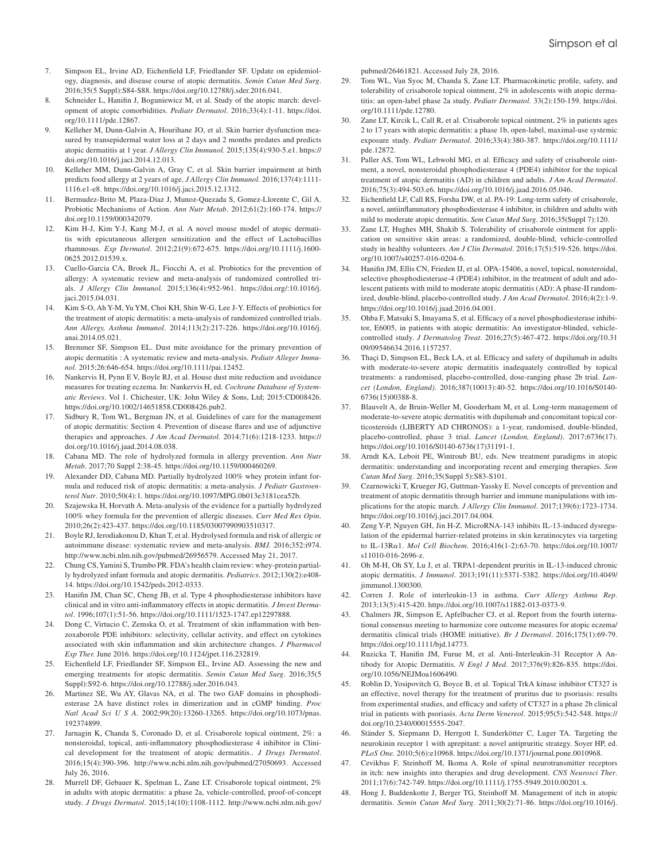- 7. Simpson EL, Irvine AD, Eichenfield LF, Friedlander SF. Update on epidemiology, diagnosis, and disease course of atopic dermatitis. *Semin Cutan Med Surg*. 2016;35(5 Suppl):S84-S88. https://doi.org/10.12788/j.sder.2016.041.
- 8. Schneider L, Hanifin J, Boguniewicz M, et al. Study of the atopic march: development of atopic comorbidities. *Pediatr Dermatol*. 2016;33(4):1-11. https://doi. org/10.1111/pde.12867.
- 9. Kelleher M, Dunn-Galvin A, Hourihane JO, et al. Skin barrier dysfunction measured by transepidermal water loss at 2 days and 2 months predates and predicts atopic dermatitis at 1 year. *J Allergy Clin Immunol.* 2015;135(4):930-5.e1. https:// doi.org/10.1016/j.jaci.2014.12.013.
- 10. Kelleher MM, Dunn-Galvin A, Gray C, et al. Skin barrier impairment at birth predicts food allergy at 2 years of age. *J Allergy Clin Immunol.* 2016;137(4):1111- 1116.e1-e8. https://doi.org/10.1016/j.jaci.2015.12.1312.
- 11. Bermudez-Brito M, Plaza-Diaz J, Munoz-Quezada S, Gomez-Llorente C, Gil A. Probiotic Mechanisms of Action. *Ann Nutr Metab*. 2012;61(2):160-174. https:// doi.org10.1159/000342079.
- 12. Kim H-J, Kim Y-J, Kang M-J, et al. A novel mouse model of atopic dermatitis with epicutaneous allergen sensitization and the effect of Lactobacillus rhamnosus. *Exp Dermatol*. 2012;21(9):672-675. https://doi.org/10.1111/j.1600- 0625.2012.01539.x.
- 13. Cuello-Garcia CA, Broek JL, Fiocchi A, et al. Probiotics for the prevention of allergy: A systematic review and meta-analysis of randomized controlled trials. *J Allergy Clin Immunol.* 2015;136(4):952-961. https://doi.org/:10.1016/j. jaci.2015.04.031.
- 14. Kim S-O, Ah Y-M, Yu YM, Choi KH, Shin W-G, Lee J-Y. Effects of probiotics for the treatment of atopic dermatitis: a meta-analysis of randomized controlled trials. *Ann Allergy, Asthma Immunol*. 2014;113(2):217-226. https://doi.org/10.1016/j. anai.2014.05.021.
- 15. Bremmer SF, Simpson EL. Dust mite avoidance for the primary prevention of atopic dermatitis : A systematic review and meta-analysis. *Pediatr Alleger Immunol.* 2015;26:646-654. https://doi.org/10.1111/pai.12452.
- 16. Nankervis H, Pynn E V, Boyle RJ, et al. House dust mite reduction and avoidance measures for treating eczema. In: Nankervis H, ed. *Cochrane Database of Systematic Reviews*. Vol 1. Chichester, UK: John Wiley & Sons, Ltd; 2015:CD008426. https://doi.org/10.1002/14651858.CD008426.pub2.
- 17. Sidbury R, Tom WL, Bergman JN, et al. Guidelines of care for the management of atopic dermatitis: Section 4. Prevention of disease flares and use of adjunctive therapies and approaches. *J Am Acad Dermatol.* 2014;71(6):1218-1233. https:// doi.org/10.1016/j.jaad.2014.08.038.
- 18. Cabana MD. The role of hydrolyzed formula in allergy prevention. *Ann Nutr Metab*. 2017;70 Suppl 2:38-45. https://doi.org/10.1159/000460269.
- 19. Alexander DD, Cabana MD. Partially hydrolyzed 100% whey protein infant formula and reduced risk of atopic dermatitis: a meta-analysis. *J Pediatr Gastroenterol Nutr*. 2010;50(4):1. https://doi.org/10.1097/MPG.0b013e3181cea52b.
- 20. Szajewska H, Horvath A. Meta-analysis of the evidence for a partially hydrolyzed 100% whey formula for the prevention of allergic diseases. *Curr Med Res Opin*. 2010;26(2):423-437. https://doi.org/10.1185/03007990903510317.
- 21. Boyle RJ, Ierodiakonou D, Khan T, et al. Hydrolysed formula and risk of allergic or autoimmune disease: systematic review and meta-analysis. *BMJ.* 2016;352:i974. http://www.ncbi.nlm.nih.gov/pubmed/26956579. Accessed May 21, 2017.
- 22. Chung CS, Yamini S, Trumbo PR. FDA's health claim review: whey-protein partially hydrolyzed infant formula and atopic dermatitis. *Pediatrics*. 2012;130(2):e408- 14. https://doi.org/10.1542/peds.2012-0333.
- 23. Hanifin JM, Chan SC, Cheng JB, et al. Type 4 phosphodiesterase inhibitors have clinical and in vitro anti-inflammatory effects in atopic dermatitis. *J Invest Dermatol*. 1996;107(1):51-56. https://doi.org/10.1111/1523-1747.ep12297888.
- 24. Dong C, Virtucio C, Zemska O, et al. Treatment of skin inflammation with benzoxaborole PDE inhibitors: selectivity, cellular activity, and effect on cytokines associated with skin inflammation and skin architecture changes. *J Pharmacol Exp Ther.* June 2016. https://doi.org/10.1124/jpet.116.232819.
- 25. Eichenfield LF, Friedlander SF, Simpson EL, Irvine AD. Assessing the new and emerging treatments for atopic dermatitis. *Semin Cutan Med Surg*. 2016;35(5 Suppl):S92-6. https://doi.org/10.12788/j.sder.2016.043.
- 26. Martinez SE, Wu AY, Glavas NA, et al. The two GAF domains in phosphodiesterase 2A have distinct roles in dimerization and in cGMP binding. *Proc Natl Acad Sci U S A*. 2002;99(20):13260-13265. https://doi.org/10.1073/pnas. 192374899.
- 27. Jarnagin K, Chanda S, Coronado D, et al. Crisaborole topical ointment, 2%: a nonsteroidal, topical, anti-inflammatory phosphodiesterase 4 inhibitor in Clinical development for the treatment of atopic dermatitis.. *J Drugs Dermatol*. 2016;15(4):390-396. http://www.ncbi.nlm.nih.gov/pubmed/27050693. Accessed July 26, 2016.
- 28. Murrell DF, Gebauer K, Spelman L, Zane LT. Crisaborole topical ointment, 2% in adults with atopic dermatitis: a phase 2a, vehicle-controlled, proof-of-concept study. *J Drugs Dermatol*. 2015;14(10):1108-1112. http://www.ncbi.nlm.nih.gov/

pubmed/26461821. Accessed July 28, 2016.

- 29. Tom WL, Van Syoc M, Chanda S, Zane LT. Pharmacokinetic profile, safety, and tolerability of crisaborole topical ointment, 2% in adolescents with atopic dermatitis: an open-label phase 2a study. *Pediatr Dermatol*. 33(2):150-159. https://doi. org/10.1111/pde.12780.
- 30. Zane LT, Kircik L, Call R, et al. Crisaborole topical ointment, 2% in patients ages 2 to 17 years with atopic dermatitis: a phase 1b, open-label, maximal-use systemic exposure study. *Pediatr Dermatol*. 2016;33(4):380-387. https://doi.org/10.1111/ pde.12872.
- 31. Paller AS, Tom WL, Lebwohl MG, et al. Efficacy and safety of crisaborole ointment, a novel, nonsteroidal phosphodiesterase 4 (PDE4) inhibitor for the topical treatment of atopic dermatitis (AD) in children and adults. *J Am Acad Dermatol*. 2016;75(3):494-503.e6. https://doi.org/10.1016/j.jaad.2016.05.046.
- 32. Eichenfield LF, Call RS, Forsha DW, et al. PA-19: Long-term safety of crisaborole, a novel, antiinflammatory phosphodiesterase 4 inhibitor, in children and adults with mild to moderate atopic dermatitis. *Sem Cutan Med Surg*. 2016;35(Suppl 7):120.
- Zane LT, Hughes MH, Shakib S. Tolerability of crisaborole ointment for application on sensitive skin areas: a randomized, double-blind, vehicle-controlled study in healthy volunteers. *Am J Clin Dermatol*. 2016;17(5):519-526. https://doi. org/10.1007/s40257-016-0204-6.
- Hanifin JM, Ellis CN, Frieden IJ, et al. OPA-15406, a novel, topical, nonsteroidal, selective phosphodiesterase-4 (PDE4) inhibitor, in the treatment of adult and adolescent patients with mild to moderate atopic dermatitis (AD): A phase-II randomized, double-blind, placebo-controlled study. *J Am Acad Dermatol*. 2016;4(2):1-9. https://doi.org/10.1016/j.jaad.2016.04.001.
- 35. Ohba F, Matsuki S, Imayama S, et al. Efficacy of a novel phosphodiesterase inhibitor, E6005, in patients with atopic dermatitis: An investigator-blinded, vehiclecontrolled study. *J Dermatolog Treat*. 2016;27(5):467-472. https://doi.org/10.31 09/09546634.2016.1157257.
- 36. Thaçi D, Simpson EL, Beck LA, et al. Efficacy and safety of dupilumab in adults with moderate-to-severe atopic dermatitis inadequately controlled by topical treatments: a randomised, placebo-controlled, dose-ranging phase 2b trial. *Lancet (London, England)*. 2016;387(10013):40-52. https://doi.org/10.1016/S0140- 6736(15)00388-8.
- 37. Blauvelt A, de Bruin-Weller M, Gooderham M, et al. Long-term management of moderate-to-severe atopic dermatitis with dupilumab and concomitant topical corticosteroids (LIBERTY AD CHRONOS): a 1-year, randomised, double-blinded, placebo-controlled, phase 3 trial. *Lancet (London, England)*. 2017;6736(17). https://doi.org/10.1016/S0140-6736(17)31191-1.
- 38. Arndt KA, Leboit PE, Wintroub BU, eds. New treatment paradigms in atopic dermatitis: understanding and incorporating recent and emerging therapies. *Sem Cutan Med Surg*. 2016;35(Suppl 5):S83-S101.
- 39. Czarnowicki T, Krueger JG, Guttman-Yassky E. Novel concepts of prevention and treatment of atopic dermatitis through barrier and immune manipulations with implications for the atopic march. *J Allergy Clin Immunol*. 2017;139(6):1723-1734. https://doi.org/10.1016/j.jaci.2017.04.004.
- 40. Zeng Y-P, Nguyen GH, Jin H-Z. MicroRNA-143 inhibits IL-13-induced dysregulation of the epidermal barrier-related proteins in skin keratinocytes via targeting to IL-13Rα1. *Mol Cell Biochem*. 2016;416(1-2):63-70. https://doi.org/10.1007/ s11010-016-2696-z.
- 41. Oh M-H, Oh SY, Lu J, et al. TRPA1-dependent pruritis in IL-13-induced chronic atopic dermatitis. *J Immunol*. 2013;191(11):5371-5382. https://doi.org/10.4049/ jimmunol.1300300.
- 42. Corren J. Role of interleukin-13 in asthma. *Curr Allergy Asthma Rep*. 2013;13(5):415-420. https://doi.org/10.1007/s11882-013-0373-9.
- 43. Chalmers JR, Simpson E, Apfelbacher CJ, et al. Report from the fourth international consensus meeting to harmonize core outcome measures for atopic eczema/ dermatitis clinical trials (HOME initiative). *Br J Dermatol*. 2016;175(1):69-79. https://doi.org/10.1111/bjd.14773.
- 44. Ruzicka T, Hanifin JM, Furue M, et al. Anti-Interleukin-31 Receptor A Antibody for Atopic Dermatitis. *N Engl J Med*. 2017;376(9):826-835. https://doi. org/10.1056/NEJMoa1606490.
- 45. Roblin D, Yosipovitch G, Boyce B, et al. Topical TrkA kinase inhibitor CT327 is an effective, novel therapy for the treatment of pruritus due to psoriasis: results from experimental studies, and efficacy and safety of CT327 in a phase 2b clinical trial in patients with psoriasis. *Acta Derm Venereol*. 2015;95(5):542-548. https:// doi.org/10.2340/00015555-2047.
- 46. Ständer S, Siepmann D, Herrgott I, Sunderkötter C, Luger TA. Targeting the neurokinin receptor 1 with aprepitant: a novel antipruritic strategy. Soyer HP, ed. *PLoS One.* 2010;5(6):e10968. https://doi.org/10.1371/journal.pone.0010968.
- 47. Cevikbas F, Steinhoff M, Ikoma A. Role of spinal neurotransmitter receptors in itch: new insights into therapies and drug development. *CNS Neurosci Ther*. 2011;17(6):742-749. https://doi.org/10.1111/j.1755-5949.2010.00201.x.
- 48. Hong J, Buddenkotte J, Berger TG, Steinhoff M. Management of itch in atopic dermatitis. *Semin Cutan Med Surg*. 2011;30(2):71-86. https://doi.org/10.1016/j.